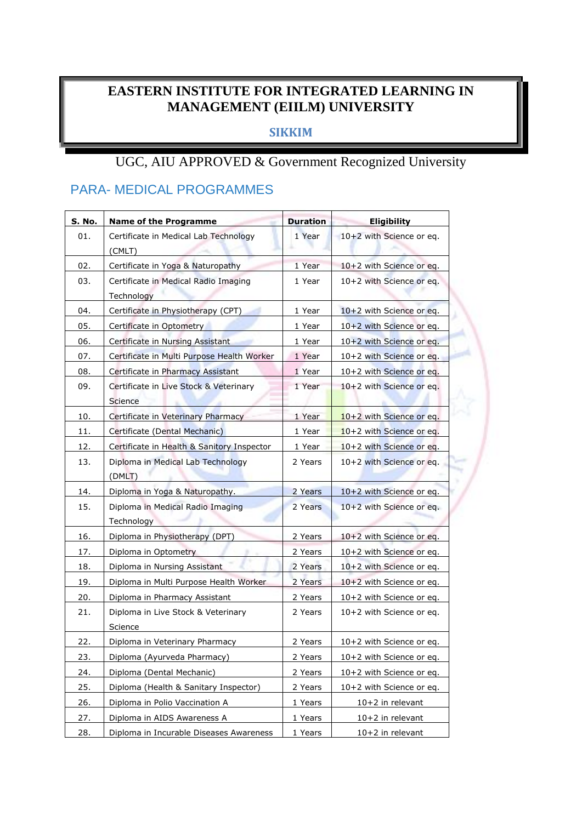#### **EASTERN INSTITUTE FOR INTEGRATED LEARNING IN MANAGEMENT (EIILM) UNIVERSITY**

#### **SIKKIM**

#### UGC, AIU APPROVED & Government Recognized University

#### PARA- MEDICAL PROGRAMMES

| S. No. | <b>Name of the Programme</b>                       | <b>Duration</b> | <b>Eligibility</b>       |
|--------|----------------------------------------------------|-----------------|--------------------------|
| 01.    | Certificate in Medical Lab Technology<br>(CMLT)    | 1 Year          | 10+2 with Science or eq. |
| 02.    | Certificate in Yoga & Naturopathy                  | 1 Year          | 10+2 with Science or eq. |
| 03.    | Certificate in Medical Radio Imaging<br>Technology | 1 Year          | 10+2 with Science or eq. |
| 04.    | Certificate in Physiotherapy (CPT)                 | 1 Year          | 10+2 with Science or eq. |
| 05.    | Certificate in Optometry                           | 1 Year          | 10+2 with Science or eq. |
| 06.    | Certificate in Nursing Assistant                   | 1 Year          | 10+2 with Science or eq. |
| 07.    | Certificate in Multi Purpose Health Worker         | 1 Year          | 10+2 with Science or eq. |
| 08.    | Certificate in Pharmacy Assistant                  | 1 Year          | 10+2 with Science or eq. |
| 09.    | Certificate in Live Stock & Veterinary<br>Science  | 1 Year          | 10+2 with Science or eq. |
| 10.    | Certificate in Veterinary Pharmacy                 | 1 Year          | 10+2 with Science or eq. |
| 11.    | Certificate (Dental Mechanic)                      | 1 Year          | 10+2 with Science or eq. |
| 12.    | Certificate in Health & Sanitory Inspector         | 1 Year          | 10+2 with Science or eq. |
| 13.    | Diploma in Medical Lab Technology<br>(DMLT)        | 2 Years         | 10+2 with Science or eq. |
| 14.    | Diploma in Yoga & Naturopathy.                     | 2 Years         | 10+2 with Science or eq. |
| 15.    | Diploma in Medical Radio Imaging<br>Technology     | 2 Years         | 10+2 with Science or eq. |
| 16.    | Diploma in Physiotherapy (DPT)                     | 2 Years         | 10+2 with Science or eq. |
| 17.    | Diploma in Optometry                               | 2 Years         | 10+2 with Science or eq. |
| 18.    | Diploma in Nursing Assistant                       | 2 Years         | 10+2 with Science or eq. |
| 19.    | Diploma in Multi Purpose Health Worker             | 2 Years         | 10+2 with Science or eq. |
| 20.    | Diploma in Pharmacy Assistant                      | 2 Years         | 10+2 with Science or eq. |
| 21.    | Diploma in Live Stock & Veterinary<br>Science      | 2 Years         | 10+2 with Science or eq. |
| 22.    | Diploma in Veterinary Pharmacy                     | 2 Years         | 10+2 with Science or eq. |
| 23.    | Diploma (Ayurveda Pharmacy)                        | 2 Years         | 10+2 with Science or eq. |
| 24.    | Diploma (Dental Mechanic)                          | 2 Years         | 10+2 with Science or eq. |
| 25.    | Diploma (Health & Sanitary Inspector)              | 2 Years         | 10+2 with Science or eq. |
| 26.    | Diploma in Polio Vaccination A                     | 1 Years         | 10+2 in relevant         |
| 27.    | Diploma in AIDS Awareness A                        | 1 Years         | 10+2 in relevant         |
| 28.    | Diploma in Incurable Diseases Awareness            | 1 Years         | 10+2 in relevant         |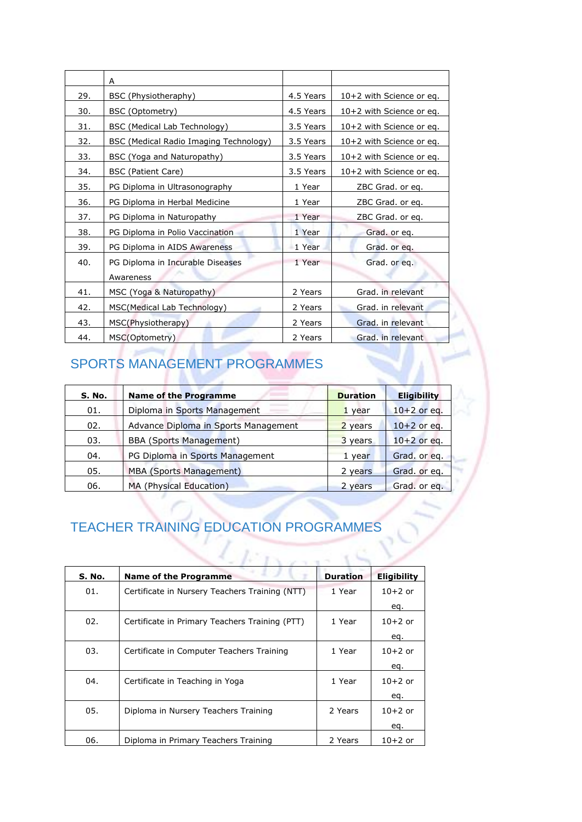|     | A                                      |           |                          |
|-----|----------------------------------------|-----------|--------------------------|
| 29. | BSC (Physiotheraphy)                   | 4.5 Years | 10+2 with Science or eq. |
| 30. | BSC (Optometry)                        | 4.5 Years | 10+2 with Science or eq. |
| 31. | BSC (Medical Lab Technology)           | 3.5 Years | 10+2 with Science or eq. |
| 32. | BSC (Medical Radio Imaging Technology) | 3.5 Years | 10+2 with Science or eq. |
| 33. | BSC (Yoga and Naturopathy)             | 3.5 Years | 10+2 with Science or eq. |
| 34. | BSC (Patient Care)                     | 3.5 Years | 10+2 with Science or eq. |
| 35. | PG Diploma in Ultrasonography          | 1 Year    | ZBC Grad. or eq.         |
| 36. | PG Diploma in Herbal Medicine          | 1 Year    | ZBC Grad. or eq.         |
| 37. | PG Diploma in Naturopathy              | 1 Year    | ZBC Grad. or eq.         |
| 38. | PG Diploma in Polio Vaccination        | 1 Year    | Grad. or eq.             |
| 39. | PG Diploma in AIDS Awareness           | 1 Year    | Grad. or eq.             |
| 40. | PG Diploma in Incurable Diseases       | 1 Year    | Grad. or eq.             |
|     | Awareness                              |           |                          |
| 41. | MSC (Yoga & Naturopathy)               | 2 Years   | Grad. in relevant        |
| 42. | MSC(Medical Lab Technology)            | 2 Years   | Grad. in relevant        |
| 43. | MSC(Physiotherapy)                     | 2 Years   | Grad. in relevant        |
| 44. | MSC(Optometry)                         | 2 Years   | Grad, in relevant        |

## SPORTS MANAGEMENT PROGRAMMES

ı

| S. No. | <b>Name of the Programme</b>         | <b>Duration</b> | <b>Eligibility</b> |
|--------|--------------------------------------|-----------------|--------------------|
| 01.    | Diploma in Sports Management         | 1 year          | $10+2$ or eq.      |
| 02.    | Advance Diploma in Sports Management | 2 years         | $10+2$ or eq.      |
| 03.    | <b>BBA (Sports Management)</b>       | 3 years         | $10+2$ or eq.      |
| 04.    | PG Diploma in Sports Management      | 1 year          | Grad. or eq.       |
| 05.    | <b>MBA (Sports Management)</b>       | 2 years         | Grad. or eq.       |
| 06.    | MA (Physical Education)              | 2 years         | Grad. or eq.       |

## TEACHER TRAINING EDUCATION PROGRAMMES

| S. No. | <b>Name of the Programme</b>                   | <b>Duration</b> | <b>Eligibility</b> |
|--------|------------------------------------------------|-----------------|--------------------|
| 01.    | Certificate in Nursery Teachers Training (NTT) | 1 Year          | $10+2$ or          |
|        |                                                |                 | eq.                |
| 02.    | Certificate in Primary Teachers Training (PTT) | 1 Year          | $10+2$ or          |
|        |                                                |                 | eq.                |
| 03.    | Certificate in Computer Teachers Training      | 1 Year          | $10+2$ or          |
|        |                                                |                 | eq.                |
| 04.    | Certificate in Teaching in Yoga                | 1 Year          | $10+2$ or          |
|        |                                                |                 | eq.                |
| 05.    | Diploma in Nursery Teachers Training           | 2 Years         | $10+2$ or          |
|        |                                                |                 | eq.                |
| 06.    | Diploma in Primary Teachers Training           | 2 Years         | $10+2$ or          |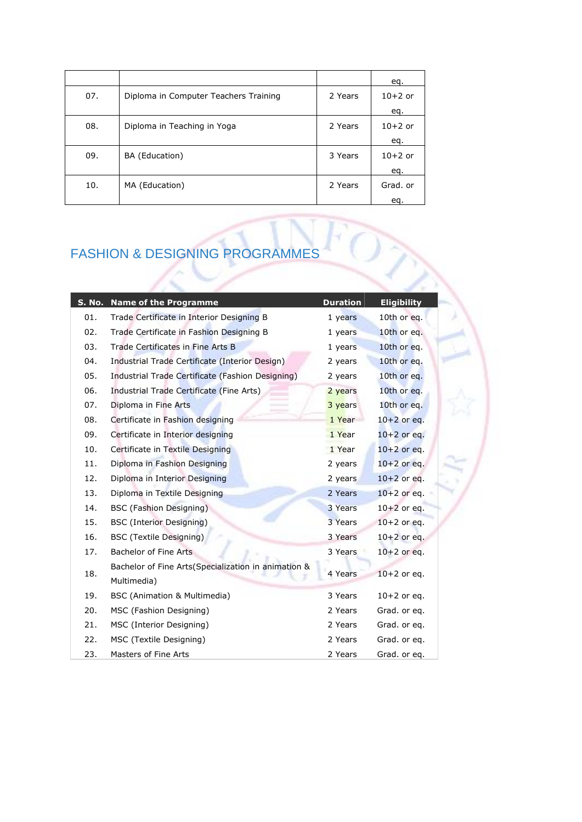|     |                                       |         | eq.       |
|-----|---------------------------------------|---------|-----------|
| 07. | Diploma in Computer Teachers Training | 2 Years | $10+2$ or |
|     |                                       |         | eq.       |
| 08. | Diploma in Teaching in Yoga           | 2 Years | $10+2$ or |
|     |                                       |         | eq.       |
| 09. | BA (Education)                        | 3 Years | $10+2$ or |
|     |                                       |         | eq.       |
| 10. | MA (Education)                        | 2 Years | Grad. or  |
|     |                                       |         | eq.       |

### FASHION & DESIGNING PROGRAMMES

| S. No. | <b>Name of the Programme</b>                                       | <b>Duration</b> | <b>Eligibility</b> |
|--------|--------------------------------------------------------------------|-----------------|--------------------|
| 01.    | Trade Certificate in Interior Designing B                          | 1 years         | 10th or eq.        |
| 02.    | Trade Certificate in Fashion Designing B                           | 1 years         | 10th or eq.        |
| 03.    | Trade Certificates in Fine Arts B                                  | 1 years         | 10th or eq.        |
| 04.    | Industrial Trade Certificate (Interior Design)                     | 2 years         | 10th or eq.        |
| 05.    | Industrial Trade Certificate (Fashion Designing)                   | 2 years         | 10th or eq.        |
| 06.    | Industrial Trade Certificate (Fine Arts)                           | 2 years         | 10th or eq.        |
| 07.    | Diploma in Fine Arts                                               | 3 years         | 10th or eq.        |
| 08.    | Certificate in Fashion designing                                   | 1 Year          | $10+2$ or eq.      |
| 09.    | Certificate in Interior designing                                  | 1 Year          | $10+2$ or eq.      |
| 10.    | Certificate in Textile Designing                                   | 1 Year          | $10+2$ or eq.      |
| 11.    | Diploma in Fashion Designing                                       | 2 years         | $10+2$ or eq.      |
| 12.    | Diploma in Interior Designing                                      | 2 years         | $10+2$ or eq.      |
| 13.    | Diploma in Textile Designing                                       | 2 Years         | $10+2$ or eq.      |
| 14.    | <b>BSC</b> (Fashion Designing)                                     | 3 Years         | $10+2$ or eq.      |
| 15.    | <b>BSC</b> (Interior Designing)                                    | 3 Years         | $10+2$ or eq.      |
| 16.    | <b>BSC (Textile Designing)</b>                                     | 3 Years         | $10+2$ or eq.      |
| 17.    | Bachelor of Fine Arts                                              | 3 Years         | $10+2$ or eq.      |
| 18.    | Bachelor of Fine Arts(Specialization in animation &<br>Multimedia) | 4 Years         | $10+2$ or eq.      |
| 19.    | <b>BSC</b> (Animation & Multimedia)                                | 3 Years         | $10+2$ or eq.      |
| 20.    | MSC (Fashion Designing)                                            | 2 Years         | Grad. or eq.       |
| 21.    | MSC (Interior Designing)                                           | 2 Years         | Grad. or eq.       |
| 22.    | MSC (Textile Designing)                                            | 2 Years         | Grad. or eq.       |
| 23.    | Masters of Fine Arts                                               | 2 Years         | Grad. or eq.       |

m

Š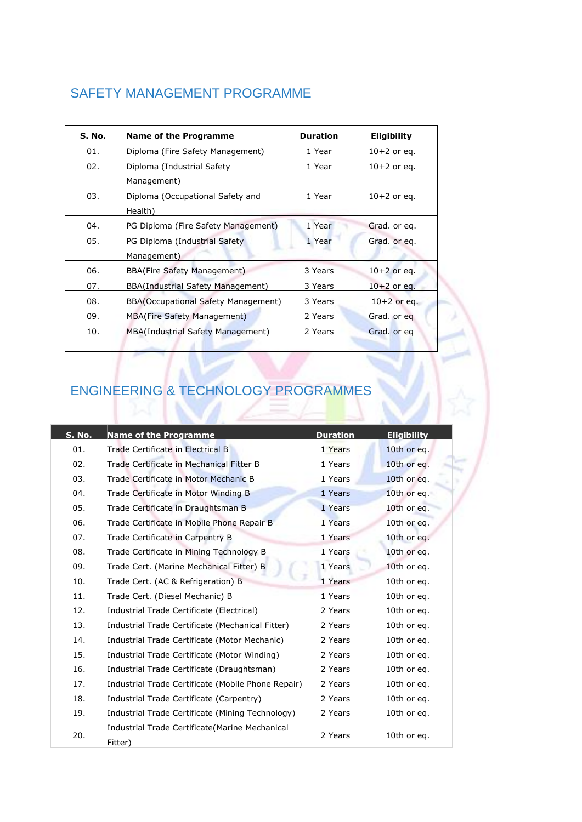#### SAFETY MANAGEMENT PROGRAMME

| S. No. | <b>Name of the Programme</b>                  | <b>Duration</b> | <b>Eligibility</b> |
|--------|-----------------------------------------------|-----------------|--------------------|
| 01.    | Diploma (Fire Safety Management)              | 1 Year          | $10+2$ or eq.      |
| 02.    | Diploma (Industrial Safety<br>Management)     | 1 Year          | $10+2$ or eq.      |
| 03.    | Diploma (Occupational Safety and<br>Health)   | 1 Year          | $10+2$ or eq.      |
| 04.    | PG Diploma (Fire Safety Management)           | 1 Year          | Grad. or eq.       |
| 05.    | PG Diploma (Industrial Safety)<br>Management) | 1 Year          | Grad. or eq.       |
| 06.    | <b>BBA(Fire Safety Management)</b>            | 3 Years         | $10+2$ or eq.      |
| 07.    | BBA(Industrial Safety Management)             | 3 Years         | $10+2$ or eq.      |
| 08.    | BBA(Occupational Safety Management)           | 3 Years         | $10+2$ or eq.      |
| 09.    | <b>MBA(Fire Safety Management)</b>            | 2 Years         | Grad. or eq        |
| 10.    | MBA(Industrial Safety Management)             | 2 Years         | Grad. or eq        |

### ENGINEERING & TECHNOLOGY PROGRAMMES

| <b>S. No.</b> | <b>Name of the Programme</b>                       | <b>Duration</b> | <b>Eligibility</b> |
|---------------|----------------------------------------------------|-----------------|--------------------|
| 01.           | Trade Certificate in Electrical B                  | 1 Years         | 10th or eq.        |
| 02.           | Trade Certificate in Mechanical Fitter B           | 1 Years         | 10th or eq.        |
| 03.           | Trade Certificate in Motor Mechanic B              | 1 Years         | 10th or eq.        |
| 04.           | Trade Certificate in Motor Winding B               | 1 Years         | 10th or eq.        |
| 05.           | Trade Certificate in Draughtsman B                 | 1 Years         | 10th or eq.        |
| 06.           | Trade Certificate in Mobile Phone Repair B         | 1 Years         | 10th or eq.        |
| 07.           | Trade Certificate in Carpentry B                   | 1 Years         | 10th or eq.        |
| 08.           | Trade Certificate in Mining Technology B           | 1 Years         | 10th or eq.        |
| 09.           | Trade Cert. (Marine Mechanical Fitter) B           | 1 Years         | 10th or eq.        |
| 10.           | Trade Cert. (AC & Refrigeration) B                 | 1 Years         | 10th or eq.        |
| 11.           | Trade Cert. (Diesel Mechanic) B                    | 1 Years         | 10th or eq.        |
| 12.           | Industrial Trade Certificate (Electrical)          | 2 Years         | 10th or eq.        |
| 13.           | Industrial Trade Certificate (Mechanical Fitter)   | 2 Years         | 10th or eq.        |
| 14.           | Industrial Trade Certificate (Motor Mechanic)      | 2 Years         | 10th or eq.        |
| 15.           | Industrial Trade Certificate (Motor Winding)       | 2 Years         | 10th or eq.        |
| 16.           | Industrial Trade Certificate (Draughtsman)         | 2 Years         | 10th or eq.        |
| 17.           | Industrial Trade Certificate (Mobile Phone Repair) | 2 Years         | 10th or eq.        |
| 18.           | Industrial Trade Certificate (Carpentry)           | 2 Years         | 10th or eq.        |
| 19.           | Industrial Trade Certificate (Mining Technology)   | 2 Years         | 10th or eq.        |
| 20.           | Industrial Trade Certificate (Marine Mechanical    | 2 Years         | 10th or eq.        |
|               | Fitter)                                            |                 |                    |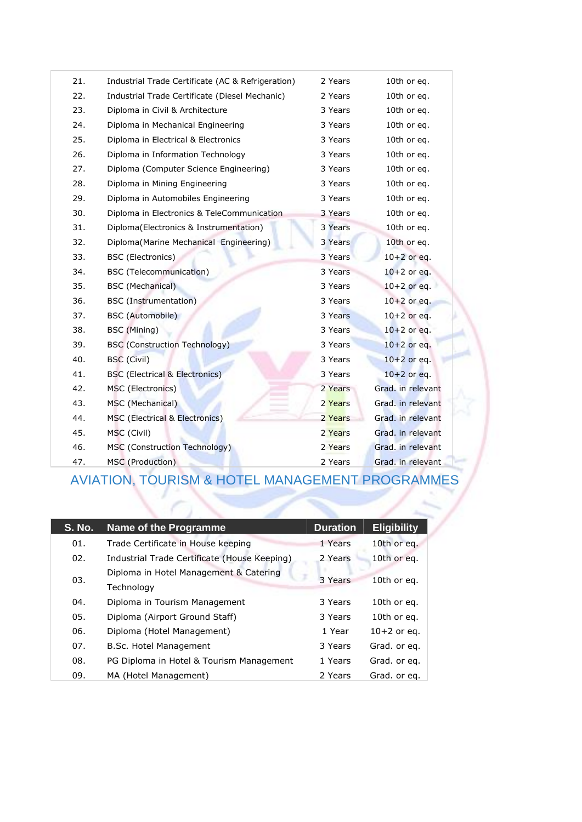| 21. | Industrial Trade Certificate (AC & Refrigeration) | 2 Years | 10th or eq.       |
|-----|---------------------------------------------------|---------|-------------------|
| 22. | Industrial Trade Certificate (Diesel Mechanic)    | 2 Years | 10th or eq.       |
| 23. | Diploma in Civil & Architecture                   | 3 Years | 10th or eq.       |
| 24. | Diploma in Mechanical Engineering                 | 3 Years | 10th or eq.       |
| 25. | Diploma in Electrical & Electronics               | 3 Years | 10th or eq.       |
| 26. | Diploma in Information Technology                 | 3 Years | 10th or eq.       |
| 27. | Diploma (Computer Science Engineering)            | 3 Years | 10th or eq.       |
| 28. | Diploma in Mining Engineering                     | 3 Years | 10th or eq.       |
| 29. | Diploma in Automobiles Engineering                | 3 Years | 10th or eq.       |
| 30. | Diploma in Electronics & TeleCommunication        | 3 Years | 10th or eq.       |
| 31. | Diploma(Electronics & Instrumentation)            | 3 Years | 10th or eq.       |
| 32. | Diploma(Marine Mechanical Engineering)            | 3 Years | 10th or eq.       |
| 33. | <b>BSC</b> (Electronics)                          | 3 Years | $10+2$ or eq.     |
| 34. | <b>BSC</b> (Telecommunication)                    | 3 Years | $10+2$ or eq.     |
| 35. | <b>BSC</b> (Mechanical)                           | 3 Years | $10+2$ or eq.     |
| 36. | <b>BSC</b> (Instrumentation)                      | 3 Years | $10+2$ or eq.     |
| 37. | <b>BSC</b> (Automobile)                           | 3 Years | $10+2$ or eq.     |
| 38. | BSC (Mining)                                      | 3 Years | $10+2$ or eq.     |
| 39. | <b>BSC (Construction Technology)</b>              | 3 Years | $10+2$ or eq.     |
| 40. | <b>BSC</b> (Civil)                                | 3 Years | $10+2$ or eq.     |
| 41. | <b>BSC</b> (Electrical & Electronics)             | 3 Years | $10+2$ or eq.     |
| 42. | MSC (Electronics)                                 | 2 Years | Grad. in relevant |
| 43. | MSC (Mechanical)                                  | 2 Years | Grad. in relevant |
| 44. | MSC (Electrical & Electronics)                    | 2 Years | Grad, in relevant |
| 45. | MSC (Civil)                                       | 2 Years | Grad, in relevant |
| 46. | MSC (Construction Technology)                     | 2 Years | Grad. in relevant |
| 47. | MSC (Production)                                  | 2 Years | Grad. in relevant |

#### AVIATION, TOURISM & HOTEL MANAGEMENT PROGRAMMES

| <b>S. No.</b> | Name of the Programme                                | <b>Duration</b> | <b>Eligibility</b> |
|---------------|------------------------------------------------------|-----------------|--------------------|
| 01.           | Trade Certificate in House keeping                   | 1 Years         | 10th or eq.        |
| 02.           | Industrial Trade Certificate (House Keeping)         | 2 Years         | 10th or eq.        |
| 03.           | Diploma in Hotel Management & Catering<br>Technology | 3 Years         | 10th or eq.        |
| 04.           | Diploma in Tourism Management                        | 3 Years         | 10th or eq.        |
| 05.           | Diploma (Airport Ground Staff)                       | 3 Years         | 10th or eq.        |
| 06.           | Diploma (Hotel Management)                           | 1 Year          | $10+2$ or eq.      |
| 07.           | B.Sc. Hotel Management                               | 3 Years         | Grad. or eq.       |
| 08.           | PG Diploma in Hotel & Tourism Management             | 1 Years         | Grad. or eq.       |
| 09.           | MA (Hotel Management)                                | 2 Years         | Grad. or eq.       |

31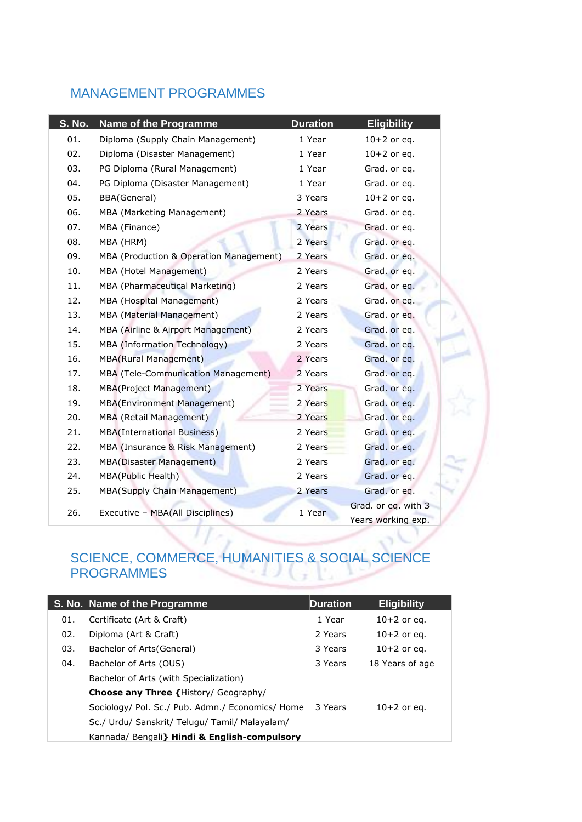#### MANAGEMENT PROGRAMMES

| <b>S. No.</b> | <b>Name of the Programme</b>            | <b>Duration</b> | <b>Eligibility</b>  |
|---------------|-----------------------------------------|-----------------|---------------------|
| 01.           | Diploma (Supply Chain Management)       | 1 Year          | $10+2$ or eq.       |
| 02.           | Diploma (Disaster Management)           | 1 Year          | $10+2$ or eq.       |
| 03.           | PG Diploma (Rural Management)           | 1 Year          | Grad. or eq.        |
| 04.           | PG Diploma (Disaster Management)        | 1 Year          | Grad. or eq.        |
| 05.           | BBA(General)                            | 3 Years         | $10+2$ or eq.       |
| 06.           | MBA (Marketing Management)              | 2 Years         | Grad. or eq.        |
| 07.           | MBA (Finance)                           | 2 Years         | Grad. or eq.        |
| 08.           | MBA (HRM)                               | 2 Years         | Grad. or eq.        |
| 09.           | MBA (Production & Operation Management) | 2 Years         | Grad. or eq.        |
| 10.           | MBA (Hotel Management)                  | 2 Years         | Grad. or eq.        |
| 11.           | MBA (Pharmaceutical Marketing)          | 2 Years         | Grad. or eq.        |
| 12.           | MBA (Hospital Management)               | 2 Years         | Grad. or eq.        |
| 13.           | MBA (Material Management)               | 2 Years         | Grad. or eq.        |
| 14.           | MBA (Airline & Airport Management)      | 2 Years         | Grad. or eq.        |
| 15.           | MBA (Information Technology)            | 2 Years         | Grad. or eq.        |
| 16.           | <b>MBA(Rural Management)</b>            | 2 Years         | Grad. or eq.        |
| 17.           | MBA (Tele-Communication Management)     | 2 Years         | Grad. or eq.        |
| 18.           | <b>MBA(Project Management)</b>          | 2 Years         | Grad. or eq.        |
| 19.           | <b>MBA(Environment Management)</b>      | 2 Years         | Grad. or eq.        |
| 20.           | MBA (Retail Management)                 | 2 Years         | Grad. or eq.        |
| 21.           | <b>MBA(International Business)</b>      | 2 Years         | Grad. or eq.        |
| 22.           | MBA (Insurance & Risk Management)       | 2 Years         | Grad. or eq.        |
| 23.           | <b>MBA(Disaster Management)</b>         | 2 Years         | Grad. or eq.        |
| 24.           | <b>MBA(Public Health)</b>               | 2 Years         | Grad. or eq.        |
| 25.           | MBA(Supply Chain Management)            | 2 Years         | Grad. or eq.        |
| 26.           | Executive - MBA(All Disciplines)        | 1 Year          | Grad. or eq. with 3 |
|               |                                         |                 | Years working exp.  |

#### SCIENCE, COMMERCE, HUMANITIES & SOCIAL SCIENCE PROGRAMMES

|     | S. No. Name of the Programme                     | <b>Duration</b> | <b>Eligibility</b> |
|-----|--------------------------------------------------|-----------------|--------------------|
| 01. | Certificate (Art & Craft)                        | 1 Year          | $10+2$ or eq.      |
| 02. | Diploma (Art & Craft)                            | 2 Years         | $10+2$ or eq.      |
| 03. | Bachelor of Arts (General)                       | 3 Years         | $10+2$ or eq.      |
| 04. | Bachelor of Arts (OUS)                           | 3 Years         | 18 Years of age    |
|     | Bachelor of Arts (with Specialization)           |                 |                    |
|     | <b>Choose any Three {History/ Geography/</b>     |                 |                    |
|     | Sociology/ Pol. Sc./ Pub. Admn./ Economics/ Home | 3 Years         | $10+2$ or eq.      |
|     | Sc./ Urdu/ Sanskrit/ Telugu/ Tamil/ Malayalam/   |                 |                    |
|     | Kannada/ Bengali } Hindi & English-compulsory    |                 |                    |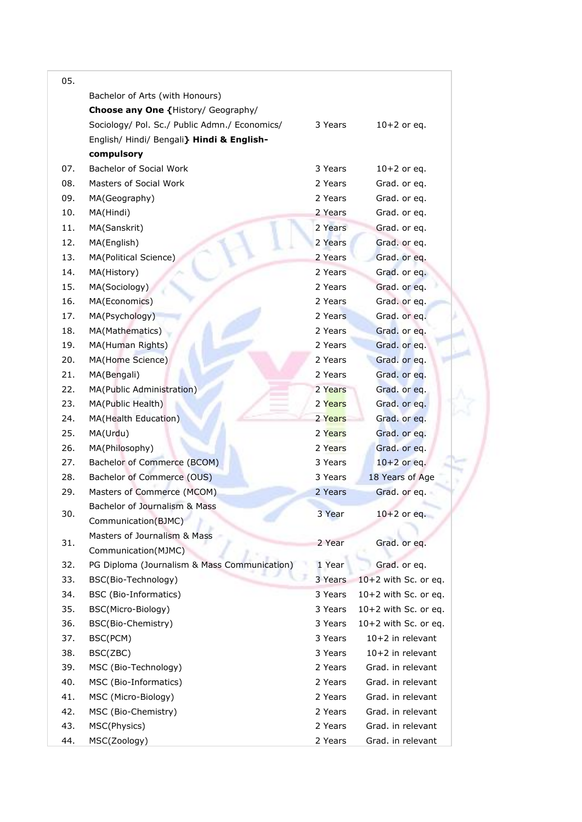| 05. |                                               |         |                        |
|-----|-----------------------------------------------|---------|------------------------|
|     | Bachelor of Arts (with Honours)               |         |                        |
|     | Choose any One {History/ Geography/           |         |                        |
|     | Sociology/ Pol. Sc./ Public Admn./ Economics/ | 3 Years | $10+2$ or eq.          |
|     | English/ Hindi/ Bengali} Hindi & English-     |         |                        |
|     | compulsory                                    |         |                        |
| 07. | <b>Bachelor of Social Work</b>                | 3 Years | $10+2$ or eq.          |
| 08. | Masters of Social Work                        | 2 Years | Grad. or eq.           |
| 09. | MA(Geography)                                 | 2 Years | Grad. or eq.           |
| 10. | MA(Hindi)                                     | 2 Years | Grad. or eq.           |
| 11. | MA(Sanskrit)                                  | 2 Years | Grad. or eq.           |
| 12. | MA(English)                                   | 2 Years | Grad. or eq.           |
| 13. | MA(Political Science)                         | 2 Years | Grad. or eq.           |
| 14. | MA(History)                                   | 2 Years | Grad. or eq.           |
| 15. | MA(Sociology)                                 | 2 Years | Grad. or eq.           |
| 16. | MA(Economics)                                 | 2 Years | Grad. or eq.           |
| 17. | MA(Psychology)                                | 2 Years | Grad. or eq.           |
| 18. | MA(Mathematics)                               | 2 Years | Grad. or eq.           |
| 19. | MA(Human Rights)                              | 2 Years | Grad. or eq.           |
| 20. | MA(Home Science)                              | 2 Years | Grad. or eq.           |
| 21. | MA(Bengali)                                   | 2 Years | Grad. or eq.           |
| 22. | MA(Public Administration)                     | 2 Years | Grad. or eq.           |
| 23. | MA(Public Health)                             | 2 Years | Grad. or eq.           |
| 24. | MA(Health Education)                          | 2 Years | Grad. or eq.           |
| 25. | MA(Urdu)                                      | 2 Years | Grad. or eq.           |
| 26. | MA(Philosophy)                                | 2 Years | Grad. or eq.           |
| 27. | Bachelor of Commerce (BCOM)                   | 3 Years | $10+2$ or eq.          |
| 28. | Bachelor of Commerce (OUS)                    | 3 Years | 18 Years of Age        |
| 29. | Masters of Commerce (MCOM)                    | 2 Years | Grad. or eq.           |
|     | Bachelor of Journalism & Mass                 |         |                        |
| 30. | Communication(BJMC)                           | 3 Year  | $10+2$ or eq.          |
|     | Masters of Journalism & Mass                  |         |                        |
| 31. |                                               | 2 Year  | Grad. or eq.           |
|     | Communication(MJMC)                           |         |                        |
| 32. | PG Diploma (Journalism & Mass Communication)  | 1 Year  | Grad. or eq.           |
| 33. | BSC(Bio-Technology)                           | 3 Years | 10+2 with Sc. or eq.   |
| 34. | BSC (Bio-Informatics)                         | 3 Years | 10+2 with Sc. or eq.   |
| 35. | BSC(Micro-Biology)                            | 3 Years | 10+2 with Sc. or eq.   |
| 36. | BSC(Bio-Chemistry)                            | 3 Years | $10+2$ with Sc. or eq. |
| 37. | BSC(PCM)                                      | 3 Years | 10+2 in relevant       |
| 38. | BSC(ZBC)                                      | 3 Years | 10+2 in relevant       |
| 39. | MSC (Bio-Technology)                          | 2 Years | Grad. in relevant      |
| 40. | MSC (Bio-Informatics)                         | 2 Years | Grad. in relevant      |
| 41. | MSC (Micro-Biology)                           | 2 Years | Grad. in relevant      |
| 42. | MSC (Bio-Chemistry)                           | 2 Years | Grad. in relevant      |
| 43. | MSC(Physics)                                  | 2 Years | Grad. in relevant      |
| 44. | MSC(Zoology)                                  | 2 Years | Grad. in relevant      |